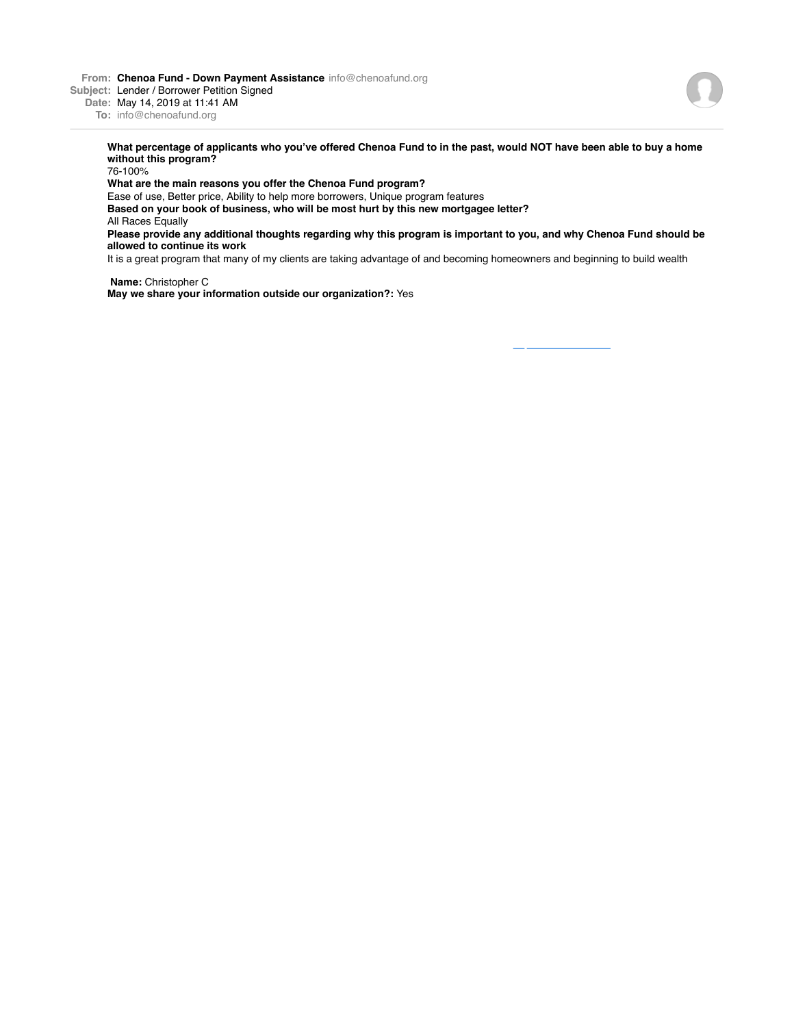**From: Chenoa Fund - Down Payment Assistance** info@chenoafund.org

**Subject:** Lender / Borrower Petition Signed

**Date:** May 14, 2019 at 11:41 AM **To:** info@chenoafund.org

> **What percentage of applicants who you've offered Chenoa Fund to in the past, would NOT have been able to buy a home without this program?**

76-100%

**What are the main reasons you offer the Chenoa Fund program?**

Ease of use, Better price, Ability to help more borrowers, Unique program features **Based on your book of business, who will be most hurt by this new mortgagee letter?**

All Races Equally

**Please provide any additional thoughts regarding why this program is important to you, and why Chenoa Fund should be allowed to continue its work**

It is a great program that many of my clients are taking advantage of and becoming homeowners and beginning to build wealth

**Name:** Christopher C **May we share your information outside our organization?:** Yes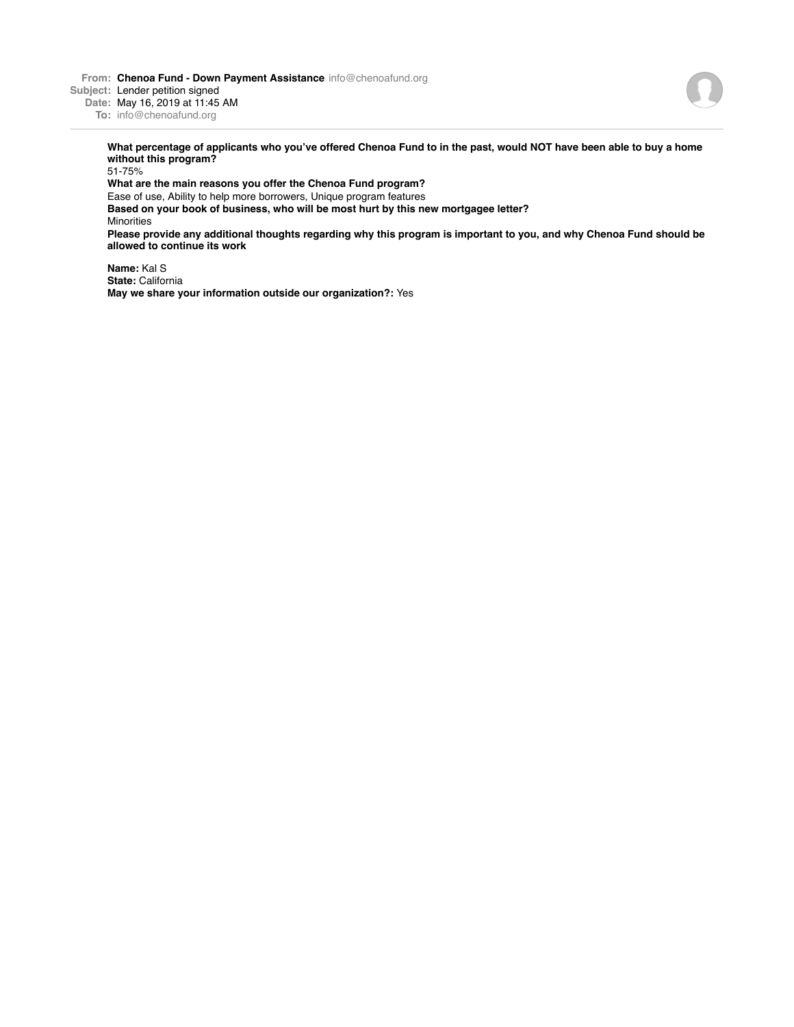**From: Chenoa Fund - Down Payment Assistance** info@chenoafund.org **Subject:** Lender petition signed



**Date:** May 16, 2019 at 11:45 AM **To:** info@chenoafund.org

> **What percentage of applicants who you've offered Chenoa Fund to in the past, would NOT have been able to buy a home without this program?**

> 51-75% **What are the main reasons you offer the Chenoa Fund program?** Ease of use, Ability to help more borrowers, Unique program features **Based on your book of business, who will be most hurt by this new mortgagee letter?** Minorities **Please provide any additional thoughts regarding why this program is important to you, and why Chenoa Fund should be allowed to continue its work**

**Name:** Kal S **State:** California **May we share your information outside our organization?:** Yes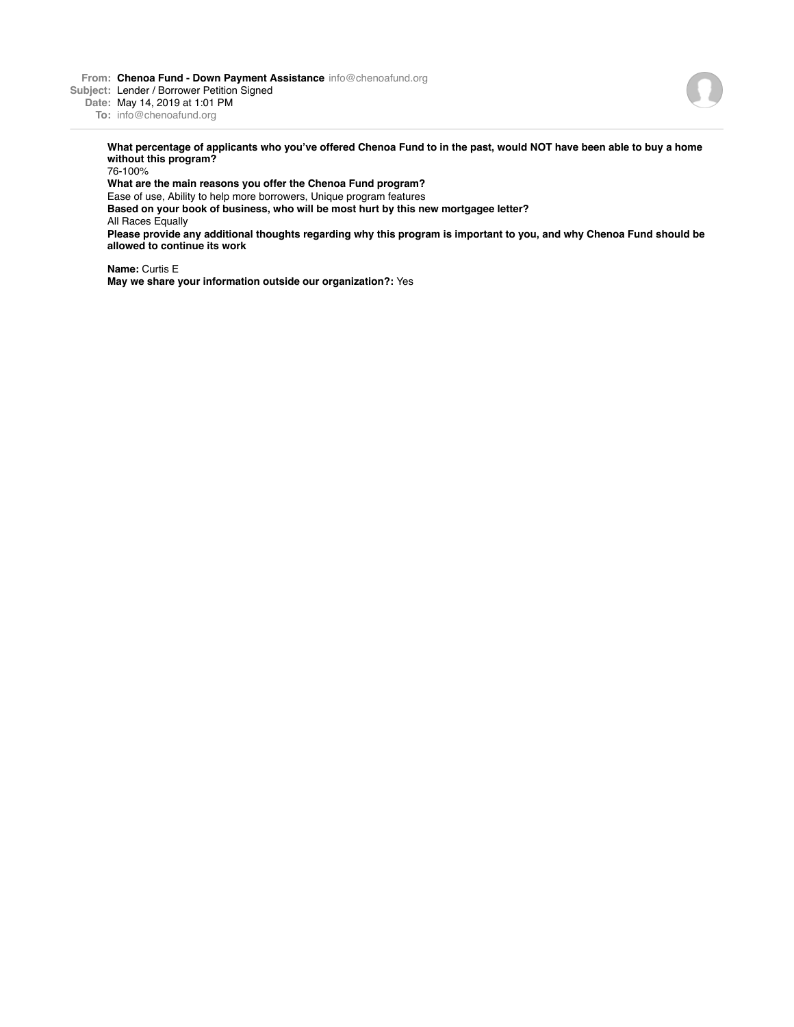**From: Chenoa Fund - Down Payment Assistance** info@chenoafund.org

**Subject:** Lender / Borrower Petition Signed

**Date:** May 14, 2019 at 1:01 PM

**To:** info@chenoafund.org

**What percentage of applicants who you've offered Chenoa Fund to in the past, would NOT have been able to buy a home without this program?**

76-100%

**What are the main reasons you offer the Chenoa Fund program?**

Ease of use, Ability to help more borrowers, Unique program features

**Based on your book of business, who will be most hurt by this new mortgagee letter?** All Races Equally

**Please provide any additional thoughts regarding why this program is important to you, and why Chenoa Fund should be allowed to continue its work**

**Name:** Curtis E **May we share your information outside our organization?:** Yes